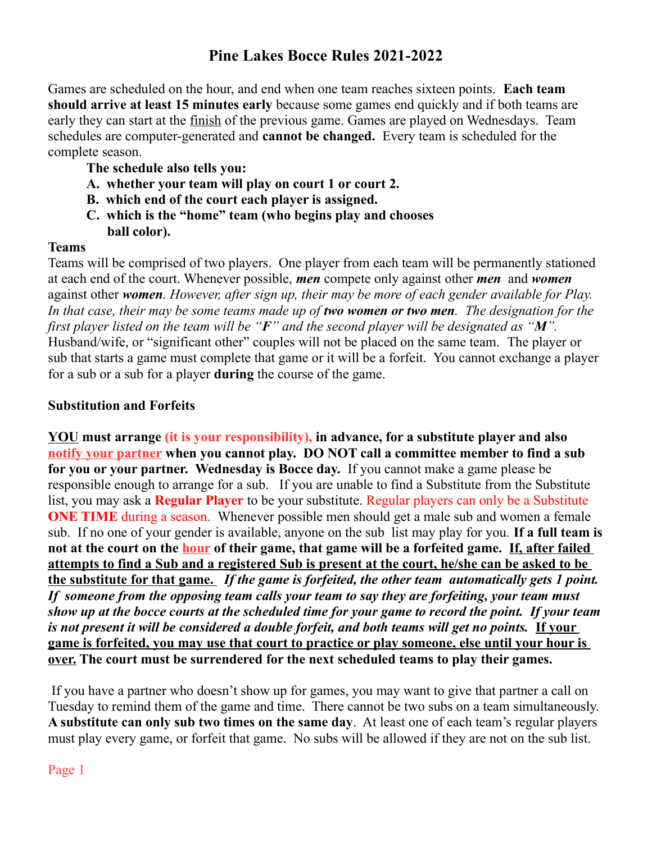# **Pine Lakes Bocce Rules 2021-2022**

Games are scheduled on the hour, and end when one team reaches sixteen points. **Each team should arrive at least 15 minutes early** because some games end quickly and if both teams are early they can start at the finish of the previous game. Games are played on Wednesdays. Team schedules are computer-generated and **cannot be changed.** Every team is scheduled for the complete season.

- **The schedule also tells you:**
- **A. whether your team will play on court 1 or court 2.**
- **B. which end of the court each player is assigned.**
- **C. which is the "home" team (who begins play and chooses ball color).**

#### **Teams**

Teams will be comprised of two players. One player from each team will be permanently stationed at each end of the court. Whenever possible, *men* compete only against other *men* and *women* against other *women. However, after sign up, their may be more of each gender available for Play.*  In that case, their may be some teams made up of *two women or two men*. The designation for the *first player listed on the team will be "F" and the second player will be designated as "M".* Husband/wife, or "significant other" couples will not be placed on the same team. The player or sub that starts a game must complete that game or it will be a forfeit. You cannot exchange a player for a sub or a sub for a player **during** the course of the game.

#### **Substitution and Forfeits**

**YOU must arrange (it is your responsibility), in advance, for a substitute player and also notify your partner when you cannot play. DO NOT call a committee member to find a sub for you or your partner. Wednesday is Bocce day.** If you cannot make a game please be responsible enough to arrange for a sub. If you are unable to find a Substitute from the Substitute list, you may ask a **Regular Player** to be your substitute. Regular players can only be a Substitute **ONE TIME** during a season. Whenever possible men should get a male sub and women a female sub. If no one of your gender is available, anyone on the sub list may play for you*.* **If a full team is not at the court on the hour of their game, that game will be a forfeited game. If, after failed attempts to find a Sub and a registered Sub is present at the court, he/she can be asked to be the substitute for that game.** *If the game is forfeited, the other team automatically gets 1 point. If someone from the opposing team calls your team to say they are forfeiting, your team must show up at the bocce courts at the scheduled time for your game to record the point. If your team is not present it will be considered a double forfeit, and both teams will get no points.* **If your game is forfeited, you may use that court to practice or play someone, else until your hour is over. The court must be surrendered for the next scheduled teams to play their games.**

If you have a partner who doesn't show up for games, you may want to give that partner a call on Tuesday to remind them of the game and time. There cannot be two subs on a team simultaneously. **A substitute can only sub two times on the same day**. At least one of each team's regular players must play every game, or forfeit that game. No subs will be allowed if they are not on the sub list.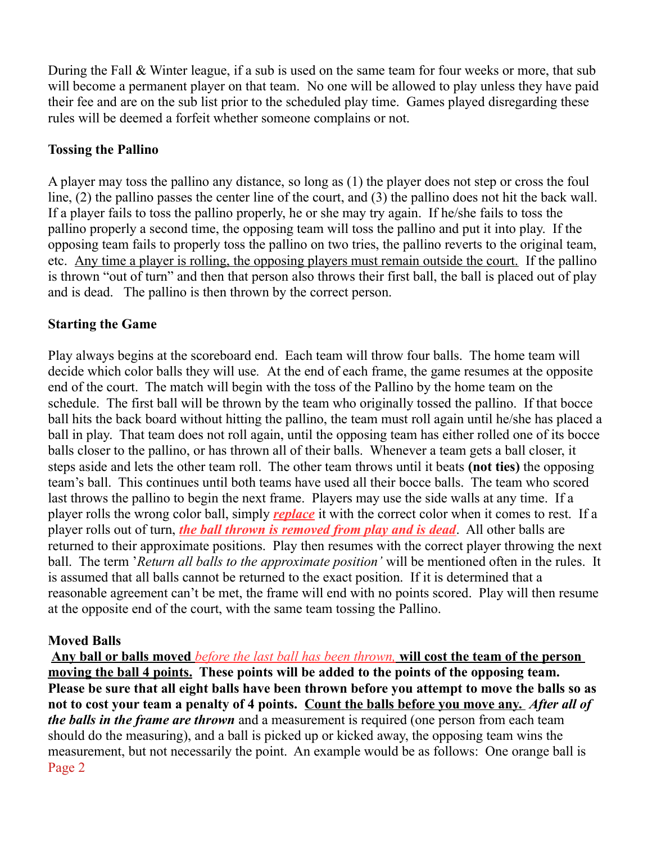During the Fall & Winter league, if a sub is used on the same team for four weeks or more, that sub will become a permanent player on that team. No one will be allowed to play unless they have paid their fee and are on the sub list prior to the scheduled play time. Games played disregarding these rules will be deemed a forfeit whether someone complains or not.

#### **Tossing the Pallino**

A player may toss the pallino any distance, so long as (1) the player does not step or cross the foul line, (2) the pallino passes the center line of the court, and (3) the pallino does not hit the back wall. If a player fails to toss the pallino properly, he or she may try again. If he/she fails to toss the pallino properly a second time, the opposing team will toss the pallino and put it into play. If the opposing team fails to properly toss the pallino on two tries, the pallino reverts to the original team, etc. Any time a player is rolling, the opposing players must remain outside the court. If the pallino is thrown "out of turn" and then that person also throws their first ball, the ball is placed out of play and is dead. The pallino is then thrown by the correct person.

# **Starting the Game**

Play always begins at the scoreboard end. Each team will throw four balls. The home team will decide which color balls they will use*.* At the end of each frame, the game resumes at the opposite end of the court. The match will begin with the toss of the Pallino by the home team on the schedule. The first ball will be thrown by the team who originally tossed the pallino. If that bocce ball hits the back board without hitting the pallino, the team must roll again until he/she has placed a ball in play. That team does not roll again, until the opposing team has either rolled one of its bocce balls closer to the pallino, or has thrown all of their balls. Whenever a team gets a ball closer, it steps aside and lets the other team roll. The other team throws until it beats **(not ties)** the opposing team's ball. This continues until both teams have used all their bocce balls. The team who scored last throws the pallino to begin the next frame. Players may use the side walls at any time. If a player rolls the wrong color ball, simply *replace* it with the correct color when it comes to rest. If a player rolls out of turn, *the ball thrown is removed from play and is dead*. All other balls are returned to their approximate positions. Play then resumes with the correct player throwing the next ball. The term '*Return all balls to the approximate position'* will be mentioned often in the rules. It is assumed that all balls cannot be returned to the exact position. If it is determined that a reasonable agreement can't be met, the frame will end with no points scored. Play will then resume at the opposite end of the court, with the same team tossing the Pallino.

# **Moved Balls**

 **Any ball or balls moved** *before**the last ball has been thrown,* **will cost the team of the person moving the ball 4 points. These points will be added to the points of the opposing team. Please be sure that all eight balls have been thrown before you attempt to move the balls so as not to cost your team a penalty of 4 points. Count the balls before you move any.** *After all of the balls in the frame are thrown* and a measurement is required (one person from each team should do the measuring), and a ball is picked up or kicked away, the opposing team wins the measurement, but not necessarily the point. An example would be as follows: One orange ball is Page 2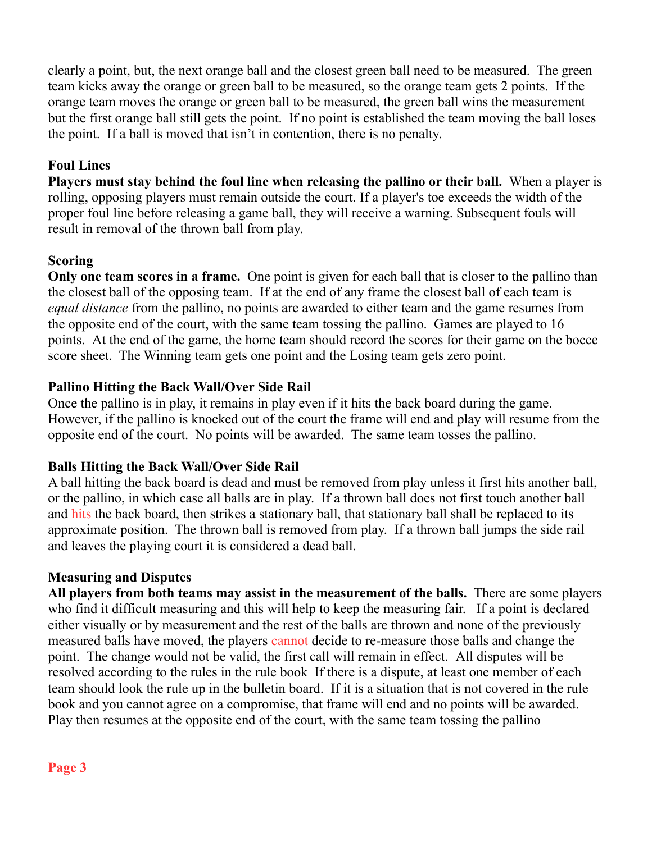clearly a point, but, the next orange ball and the closest green ball need to be measured. The green team kicks away the orange or green ball to be measured, so the orange team gets 2 points. If the orange team moves the orange or green ball to be measured, the green ball wins the measurement but the first orange ball still gets the point. If no point is established the team moving the ball loses the point. If a ball is moved that isn't in contention, there is no penalty.

# **Foul Lines**

**Players must stay behind the foul line when releasing the pallino or their ball.** When a player is rolling, opposing players must remain outside the court. If a player's toe exceeds the width of the proper foul line before releasing a game ball, they will receive a warning. Subsequent fouls will result in removal of the thrown ball from play.

# **Scoring**

**Only one team scores in a frame.** One point is given for each ball that is closer to the pallino than the closest ball of the opposing team. If at the end of any frame the closest ball of each team is *equal distance* from the pallino, no points are awarded to either team and the game resumes from the opposite end of the court, with the same team tossing the pallino. Games are played to 16 points. At the end of the game, the home team should record the scores for their game on the bocce score sheet. The Winning team gets one point and the Losing team gets zero point.

#### **Pallino Hitting the Back Wall/Over Side Rail**

Once the pallino is in play, it remains in play even if it hits the back board during the game. However, if the pallino is knocked out of the court the frame will end and play will resume from the opposite end of the court. No points will be awarded. The same team tosses the pallino.

# **Balls Hitting the Back Wall/Over Side Rail**

A ball hitting the back board is dead and must be removed from play unless it first hits another ball, or the pallino, in which case all balls are in play. If a thrown ball does not first touch another ball and hits the back board, then strikes a stationary ball, that stationary ball shall be replaced to its approximate position. The thrown ball is removed from play. If a thrown ball jumps the side rail and leaves the playing court it is considered a dead ball.

# **Measuring and Disputes**

**All players from both teams may assist in the measurement of the balls.** There are some players who find it difficult measuring and this will help to keep the measuring fair. If a point is declared either visually or by measurement and the rest of the balls are thrown and none of the previously measured balls have moved, the players cannot decide to re-measure those balls and change the point. The change would not be valid, the first call will remain in effect. All disputes will be resolved according to the rules in the rule book If there is a dispute, at least one member of each team should look the rule up in the bulletin board. If it is a situation that is not covered in the rule book and you cannot agree on a compromise, that frame will end and no points will be awarded. Play then resumes at the opposite end of the court, with the same team tossing the pallino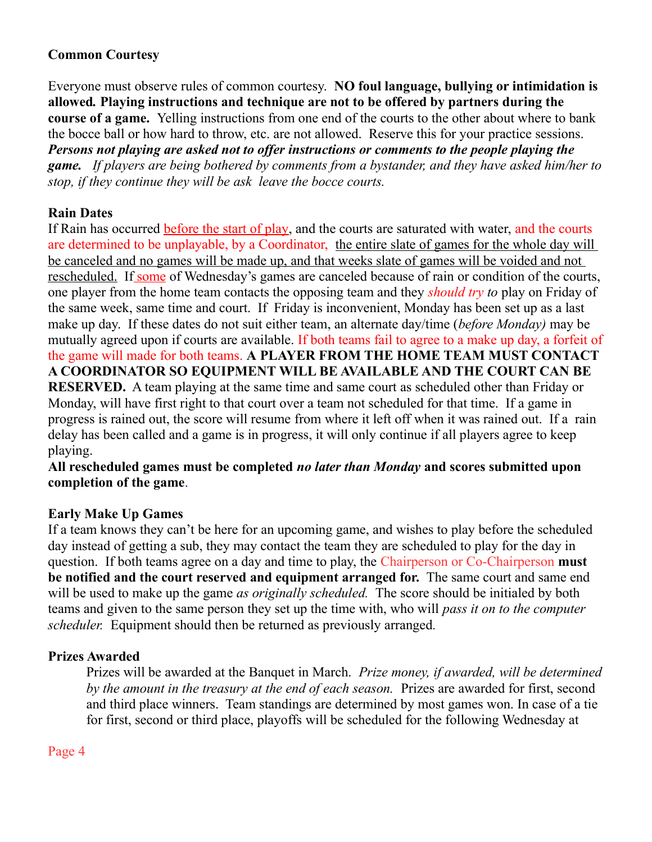# **Common Courtesy**

Everyone must observe rules of common courtesy. **NO foul language, bullying or intimidation is allowed***.* **Playing instructions and technique are not to be offered by partners during the course of a game.** Yelling instructions from one end of the courts to the other about where to bank the bocce ball or how hard to throw, etc. are not allowed. Reserve this for your practice sessions. *Persons not playing are asked not to offer instructions or comments to the people playing the game. If players are being bothered by comments from a bystander, and they have asked him/her to stop, if they continue they will be ask leave the bocce courts.*

# **Rain Dates**

If Rain has occurred before the start of play, and the courts are saturated with water, and the courts are determined to be unplayable, by a Coordinator, the entire slate of games for the whole day will be canceled and no games will be made up, and that weeks slate of games will be voided and not rescheduled. If some of Wednesday's games are canceled because of rain or condition of the courts, one player from the home team contacts the opposing team and they *should try to* play on Friday of the same week, same time and court. If Friday is inconvenient, Monday has been set up as a last make up day. If these dates do not suit either team, an alternate day/time (*before Monday)* may be mutually agreed upon if courts are available. If both teams fail to agree to a make up day, a forfeit of the game will made for both teams. **A PLAYER FROM THE HOME TEAM MUST CONTACT A COORDINATOR SO EQUIPMENT WILL BE AVAILABLE AND THE COURT CAN BE RESERVED.** A team playing at the same time and same court as scheduled other than Friday or Monday, will have first right to that court over a team not scheduled for that time. If a game in progress is rained out, the score will resume from where it left off when it was rained out. If a rain delay has been called and a game is in progress, it will only continue if all players agree to keep playing.

#### **All rescheduled games must be completed** *no later than Monday* **and scores submitted upon completion of the game**.

# **Early Make Up Games**

If a team knows they can't be here for an upcoming game, and wishes to play before the scheduled day instead of getting a sub, they may contact the team they are scheduled to play for the day in question. If both teams agree on a day and time to play, the Chairperson or Co-Chairperson **must be notified and the court reserved and equipment arranged for.** The same court and same end will be used to make up the game *as originally scheduled.* The score should be initialed by both teams and given to the same person they set up the time with, who will *pass it on to the computer scheduler.* Equipment should then be returned as previously arranged*.*

# **Prizes Awarded**

Prizes will be awarded at the Banquet in March. *Prize money, if awarded, will be determined by the amount in the treasury at the end of each season.* Prizes are awarded for first, second and third place winners. Team standings are determined by most games won. In case of a tie for first, second or third place, playoffs will be scheduled for the following Wednesday at

Page 4